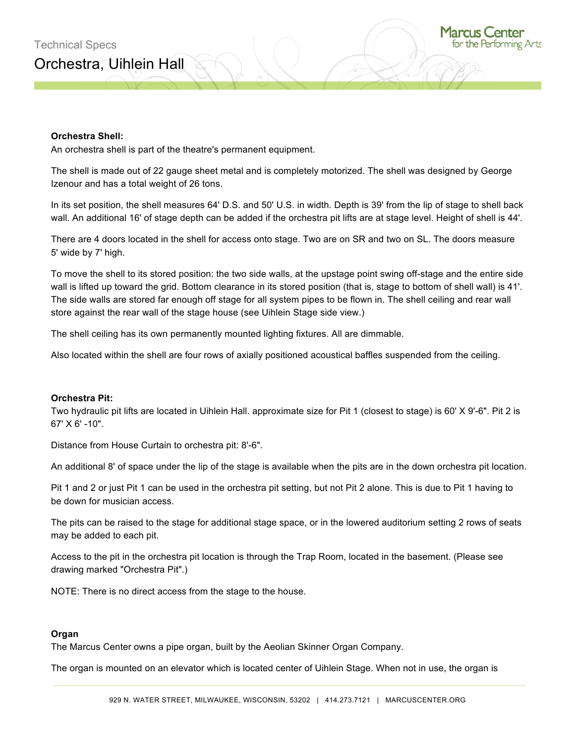## **Orchestra Shell:**

An orchestra shell is part of the theatre's permanent equipment.

The shell is made out of 22 gauge sheet metal and is completely motorized. The shell was designed by George Izenour and has a total weight of 26 tons.

In its set position, the shell measures 64' D.S. and 50' U.S. in width. Depth is 39' from the lip of stage to shell back wall. An additional 16' of stage depth can be added if the orchestra pit lifts are at stage level. Height of shell is 44'.

There are 4 doors located in the shell for access onto stage. Two are on SR and two on SL. The doors measure 5' wide by 7' high.

To move the shell to its stored position: the two side walls, at the upstage point swing off-stage and the entire side wall is lifted up toward the grid. Bottom clearance in its stored position (that is, stage to bottom of shell wall) is 41'. The side walls are stored far enough off stage for all system pipes to be flown in. The shell ceiling and rear wall store against the rear wall of the stage house (see Uihlein Stage side view.)

The shell ceiling has its own permanently mounted lighting fixtures. All are dimmable.

Also located within the shell are four rows of axially positioned acoustical baffles suspended from the ceiling.

## **Orchestra Pit:**

Two hydraulic pit lifts are located in Uihlein Hall. approximate size for Pit 1 (closest to stage) is 60' X 9'-6". Pit 2 is 67' X 6' -10".

Distance from House Curtain to orchestra pit: 8'-6".

An additional 8' of space under the lip of the stage is available when the pits are in the down orchestra pit location.

Pit 1 and 2 or just Pit 1 can be used in the orchestra pit setting, but not Pit 2 alone. This is due to Pit 1 having to be down for musician access.

The pits can be raised to the stage for additional stage space, or in the lowered auditorium setting 2 rows of seats may be added to each pit.

Access to the pit in the orchestra pit location is through the Trap Room, located in the basement. (Please see drawing marked "Orchestra Pit".)

NOTE: There is no direct access from the stage to the house.

## **Organ**

The Marcus Center owns a pipe organ, built by the Aeolian Skinner Organ Company.

The organ is mounted on an elevator which is located center of Uihlein Stage. When not in use, the organ is